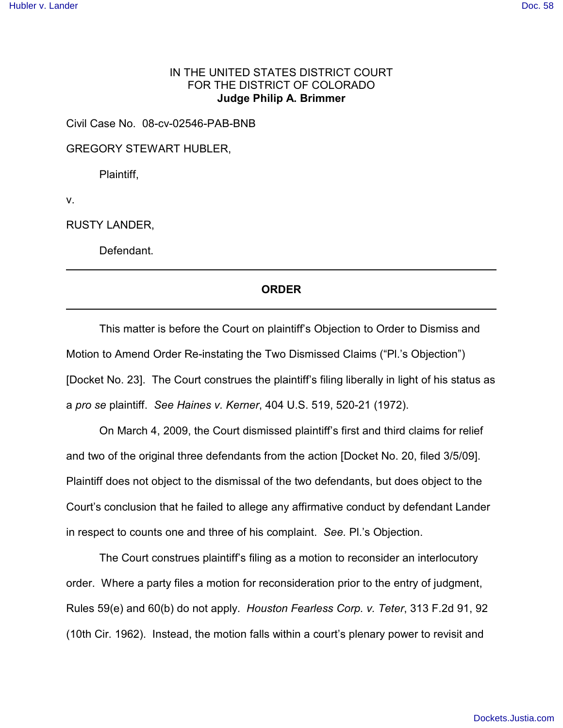## IN THE UNITED STATES DISTRICT COURT FOR THE DISTRICT OF COLORADO **Judge Philip A. Brimmer**

Civil Case No. 08-cv-02546-PAB-BNB

GREGORY STEWART HUBLER,

Plaintiff,

v.

RUSTY LANDER,

Defendant.

## **ORDER**

This matter is before the Court on plaintiff's Objection to Order to Dismiss and Motion to Amend Order Re-instating the Two Dismissed Claims ("Pl.'s Objection") [Docket No. 23]. The Court construes the plaintiff's filing liberally in light of his status as a *pro se* plaintiff. *See Haines v. Kerner*, 404 U.S. 519, 520-21 (1972).

On March 4, 2009, the Court dismissed plaintiff's first and third claims for relief and two of the original three defendants from the action [Docket No. 20, filed 3/5/09]. Plaintiff does not object to the dismissal of the two defendants, but does object to the Court's conclusion that he failed to allege any affirmative conduct by defendant Lander in respect to counts one and three of his complaint. *See.* Pl.'s Objection.

The Court construes plaintiff's filing as a motion to reconsider an interlocutory order. Where a party files a motion for reconsideration prior to the entry of judgment, Rules 59(e) and 60(b) do not apply. *Houston Fearless Corp. v. Teter*, 313 F.2d 91, 92 (10th Cir. 1962). Instead, the motion falls within a court's plenary power to revisit and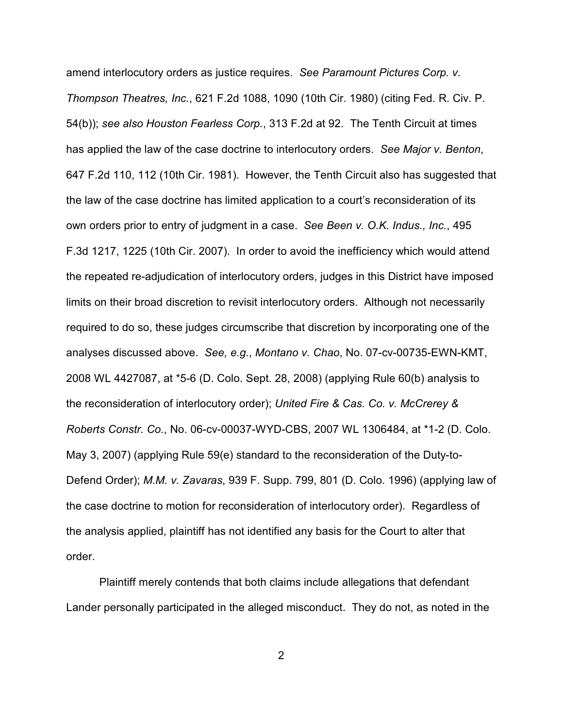amend interlocutory orders as justice requires. *See Paramount Pictures Corp. v. Thompson Theatres, Inc.*, 621 F.2d 1088, 1090 (10th Cir. 1980) (citing Fed. R. Civ. P. 54(b)); *see also Houston Fearless Corp.*, 313 F.2d at 92. The Tenth Circuit at times has applied the law of the case doctrine to interlocutory orders. *See Major v. Benton*, 647 F.2d 110, 112 (10th Cir. 1981). However, the Tenth Circuit also has suggested that the law of the case doctrine has limited application to a court's reconsideration of its own orders prior to entry of judgment in a case. *See Been v. O.K. Indus., Inc.*, 495 F.3d 1217, 1225 (10th Cir. 2007). In order to avoid the inefficiency which would attend the repeated re-adjudication of interlocutory orders, judges in this District have imposed limits on their broad discretion to revisit interlocutory orders. Although not necessarily required to do so, these judges circumscribe that discretion by incorporating one of the analyses discussed above. *See, e.g.*, *Montano v. Chao*, No. 07-cv-00735-EWN-KMT, 2008 WL 4427087, at \*5-6 (D. Colo. Sept. 28, 2008) (applying Rule 60(b) analysis to the reconsideration of interlocutory order); *United Fire & Cas. Co. v. McCrerey & Roberts Constr. Co.*, No. 06-cv-00037-WYD-CBS, 2007 WL 1306484, at \*1-2 (D. Colo. May 3, 2007) (applying Rule 59(e) standard to the reconsideration of the Duty-to-Defend Order); *M.M. v. Zavaras*, 939 F. Supp. 799, 801 (D. Colo. 1996) (applying law of the case doctrine to motion for reconsideration of interlocutory order). Regardless of the analysis applied, plaintiff has not identified any basis for the Court to alter that order.

Plaintiff merely contends that both claims include allegations that defendant Lander personally participated in the alleged misconduct. They do not, as noted in the

2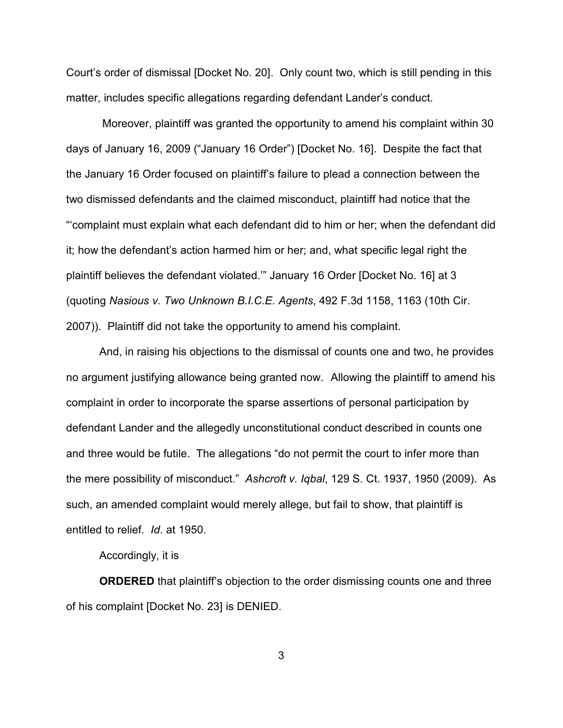Court's order of dismissal [Docket No. 20]. Only count two, which is still pending in this matter, includes specific allegations regarding defendant Lander's conduct.

 Moreover, plaintiff was granted the opportunity to amend his complaint within 30 days of January 16, 2009 ("January 16 Order") [Docket No. 16]. Despite the fact that the January 16 Order focused on plaintiff's failure to plead a connection between the two dismissed defendants and the claimed misconduct, plaintiff had notice that the "'complaint must explain what each defendant did to him or her; when the defendant did it; how the defendant's action harmed him or her; and, what specific legal right the plaintiff believes the defendant violated.'" January 16 Order [Docket No. 16] at 3 (quoting *Nasious v. Two Unknown B.I.C.E. Agents*, 492 F.3d 1158, 1163 (10th Cir. 2007)). Plaintiff did not take the opportunity to amend his complaint.

And, in raising his objections to the dismissal of counts one and two, he provides no argument justifying allowance being granted now. Allowing the plaintiff to amend his complaint in order to incorporate the sparse assertions of personal participation by defendant Lander and the allegedly unconstitutional conduct described in counts one and three would be futile. The allegations "do not permit the court to infer more than the mere possibility of misconduct." *Ashcroft v. Iqbal*, 129 S. Ct. 1937, 1950 (2009). As such, an amended complaint would merely allege, but fail to show, that plaintiff is entitled to relief. *Id*. at 1950.

## Accordingly, it is

**ORDERED** that plaintiff's objection to the order dismissing counts one and three of his complaint [Docket No. 23] is DENIED.

3